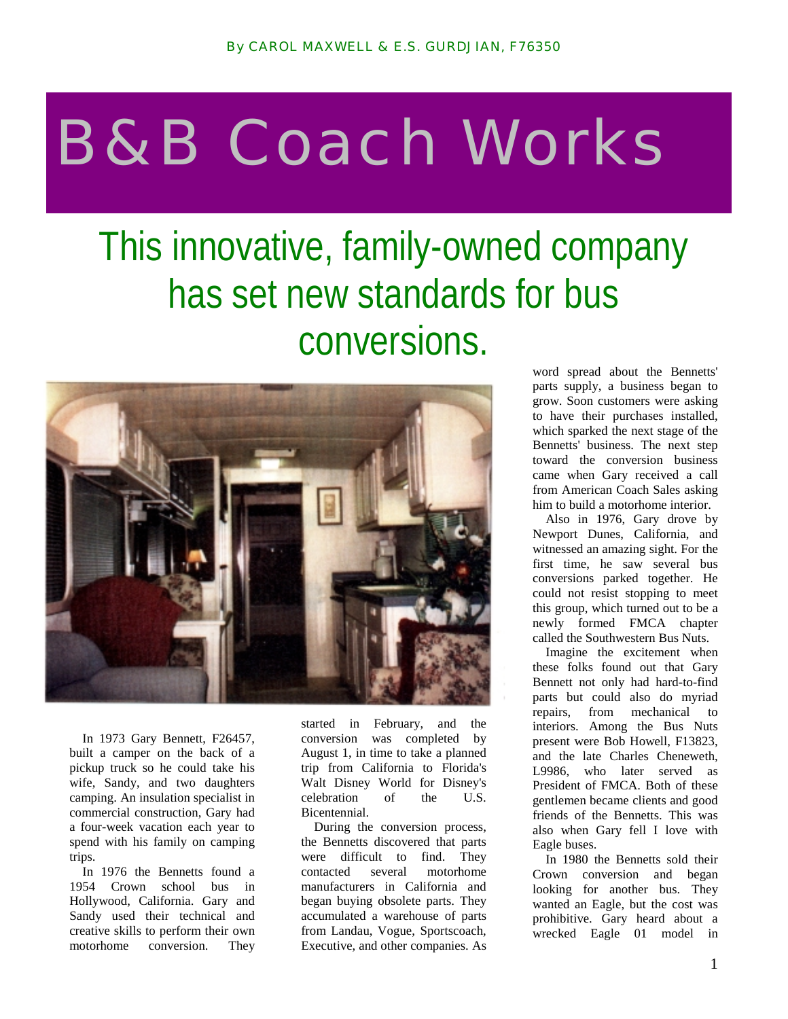## B&B Coach Works

## This innovative, family-owned company has set new standards for bus conversions.



In 1973 Gary Bennett, F26457, built a camper on the back of a pickup truck so he could take his wife, Sandy, and two daughters camping. An insulation specialist in commercial construction, Gary had a four-week vacation each year to spend with his family on camping trips.

In 1976 the Bennetts found a 1954 Crown school bus in Hollywood, California. Gary and Sandy used their technical and creative skills to perform their own motorhome conversion. They

started in February, and the conversion was completed by August 1, in time to take a planned trip from California to Florida's Walt Disney World for Disney's celebration of the U.S. Bicentennial.

During the conversion process, the Bennetts discovered that parts were difficult to find. They contacted several motorhome manufacturers in California and began buying obsolete parts. They accumulated a warehouse of parts from Landau, Vogue, Sportscoach, Executive, and other companies. As

word spread about the Bennetts' parts supply, a business began to grow. Soon customers were asking to have their purchases installed, which sparked the next stage of the Bennetts' business. The next step toward the conversion business came when Gary received a call from American Coach Sales asking him to build a motorhome interior.

Also in 1976, Gary drove by Newport Dunes, California, and witnessed an amazing sight. For the first time, he saw several bus conversions parked together. He could not resist stopping to meet this group, which turned out to be a newly formed FMCA chapter called the Southwestern Bus Nuts.

Imagine the excitement when these folks found out that Gary Bennett not only had hard-to-find parts but could also do myriad repairs, from mechanical to interiors. Among the Bus Nuts present were Bob Howell, F13823, and the late Charles Cheneweth, L9986, who later served as President of FMCA. Both of these gentlemen became clients and good friends of the Bennetts. This was also when Gary fell I love with Eagle buses.

In 1980 the Bennetts sold their Crown conversion and began looking for another bus. They wanted an Eagle, but the cost was prohibitive. Gary heard about a wrecked Eagle 01 model in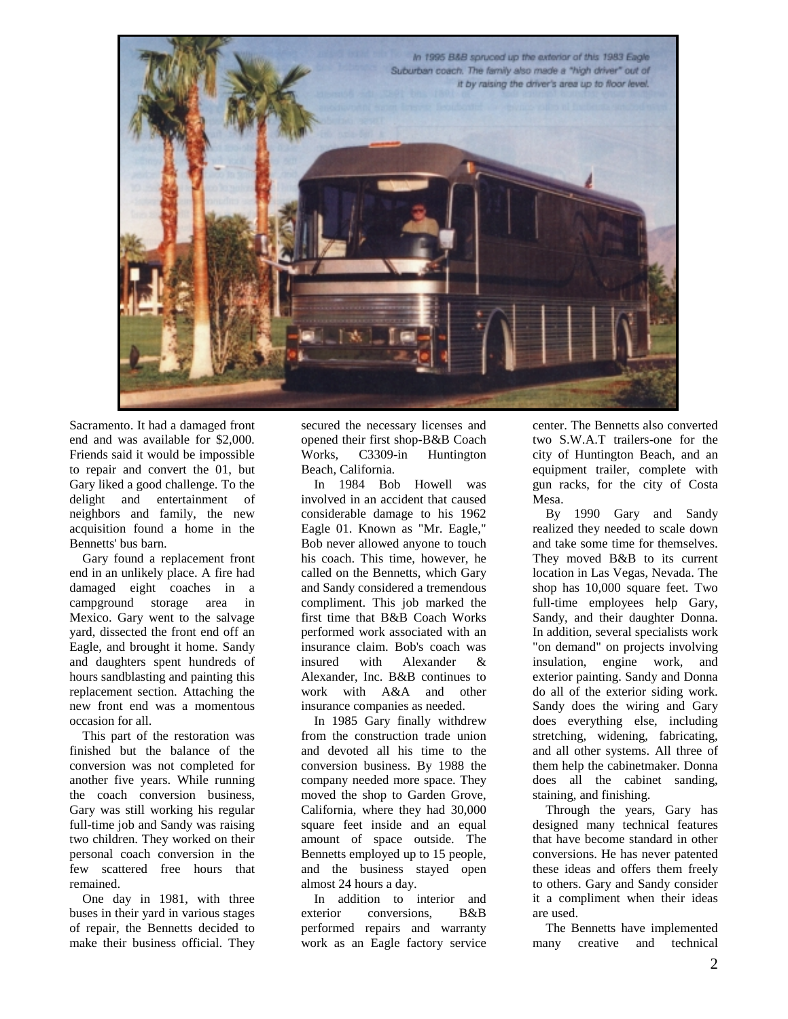

Sacramento. It had a damaged front end and was available for \$2,000. Friends said it would be impossible to repair and convert the 01, but Gary liked a good challenge. To the delight and entertainment of neighbors and family, the new acquisition found a home in the Bennetts' bus barn.

Gary found a replacement front end in an unlikely place. A fire had damaged eight coaches in a campground storage area in Mexico. Gary went to the salvage yard, dissected the front end off an Eagle, and brought it home. Sandy and daughters spent hundreds of hours sandblasting and painting this replacement section. Attaching the new front end was a momentous occasion for all.

This part of the restoration was finished but the balance of the conversion was not completed for another five years. While running the coach conversion business, Gary was still working his regular full-time job and Sandy was raising two children. They worked on their personal coach conversion in the few scattered free hours that remained.

One day in 1981, with three buses in their yard in various stages of repair, the Bennetts decided to make their business official. They

secured the necessary licenses and opened their first shop-B&B Coach Works, C3309-in Huntington Beach, California.

In 1984 Bob Howell was involved in an accident that caused considerable damage to his 1962 Eagle 01. Known as "Mr. Eagle," Bob never allowed anyone to touch his coach. This time, however, he called on the Bennetts, which Gary and Sandy considered a tremendous compliment. This job marked the first time that B&B Coach Works performed work associated with an insurance claim. Bob's coach was insured with Alexander & Alexander, Inc. B&B continues to work with A&A and other insurance companies as needed.

In 1985 Gary finally withdrew from the construction trade union and devoted all his time to the conversion business. By 1988 the company needed more space. They moved the shop to Garden Grove, California, where they had 30,000 square feet inside and an equal amount of space outside. The Bennetts employed up to 15 people, and the business stayed open almost 24 hours a day.

In addition to interior and exterior conversions, B&B performed repairs and warranty work as an Eagle factory service

center. The Bennetts also converted two S.W.A.T trailers-one for the city of Huntington Beach, and an equipment trailer, complete with gun racks, for the city of Costa Mesa.

By 1990 Gary and Sandy realized they needed to scale down and take some time for themselves. They moved B&B to its current location in Las Vegas, Nevada. The shop has 10,000 square feet. Two full-time employees help Gary, Sandy, and their daughter Donna. In addition, several specialists work "on demand" on projects involving insulation, engine work, and exterior painting. Sandy and Donna do all of the exterior siding work. Sandy does the wiring and Gary does everything else, including stretching, widening, fabricating, and all other systems. All three of them help the cabinetmaker. Donna does all the cabinet sanding, staining, and finishing.

Through the years, Gary has designed many technical features that have become standard in other conversions. He has never patented these ideas and offers them freely to others. Gary and Sandy consider it a compliment when their ideas are used.

The Bennetts have implemented many creative and technical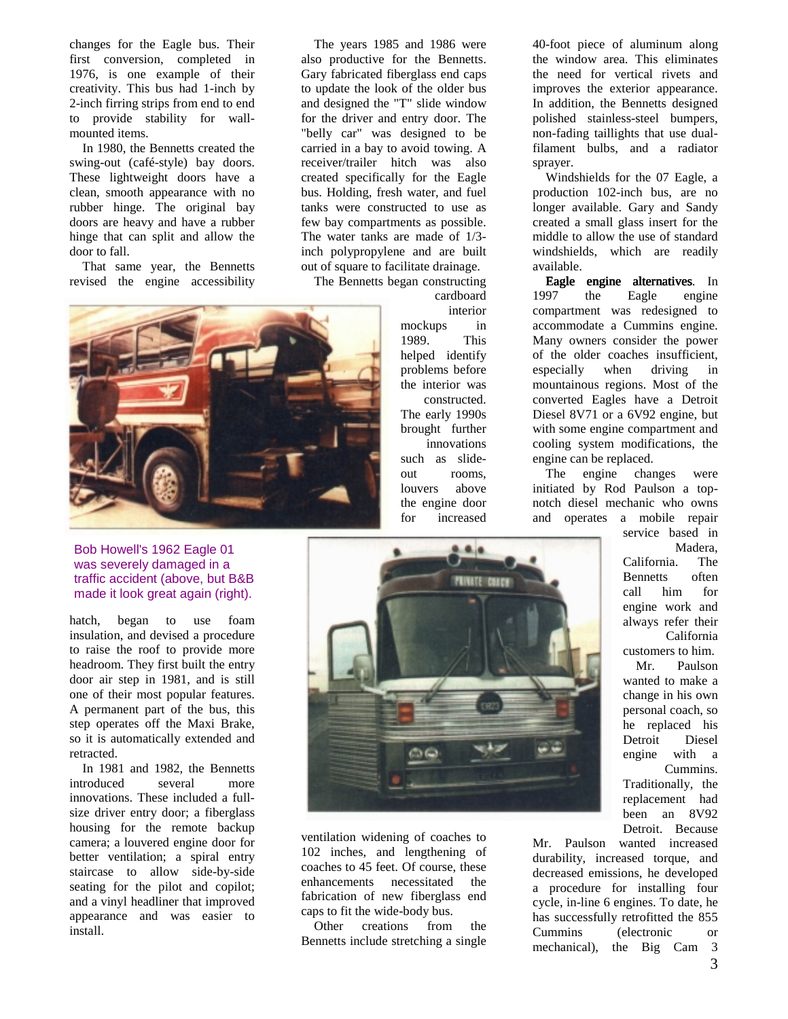changes for the Eagle bus. Their first conversion, completed in 1976, is one example of their creativity. This bus had 1-inch by 2-inch firring strips from end to end to provide stability for wallmounted items.

In 1980, the Bennetts created the swing-out (café-style) bay doors. These lightweight doors have a clean, smooth appearance with no rubber hinge. The original bay doors are heavy and have a rubber hinge that can split and allow the door to fall.

That same year, the Bennetts revised the engine accessibility

The years 1985 and 1986 were also productive for the Bennetts. Gary fabricated fiberglass end caps to update the look of the older bus and designed the "T" slide window for the driver and entry door. The "belly car" was designed to be carried in a bay to avoid towing. A receiver/trailer hitch was also created specifically for the Eagle bus. Holding, fresh water, and fuel tanks were constructed to use as few bay compartments as possible. The water tanks are made of 1/3 inch polypropylene and are built out of square to facilitate drainage.

The Bennetts began constructing cardboard



## Bob Howell's 1962 Eagle 01 was severely damaged in a traffic accident (above, but B&B made it look great again (right).

hatch, began to use foam insulation, and devised a procedure to raise the roof to provide more headroom. They first built the entry door air step in 1981, and is still one of their most popular features. A permanent part of the bus, this step operates off the Maxi Brake, so it is automatically extended and retracted.

In 1981 and 1982, the Bennetts introduced several more innovations. These included a fullsize driver entry door; a fiberglass housing for the remote backup camera; a louvered engine door for better ventilation; a spiral entry staircase to allow side-by-side seating for the pilot and copilot; and a vinyl headliner that improved appearance and was easier to install.

interior mockups in 1989. This helped identify problems before the interior was constructed. The early 1990s brought further innovations such as slideout rooms, louvers above the engine door for increased

 $0.0.4$ 

**PRIVATE COACH** 

40-foot piece of aluminum along the window area. This eliminates the need for vertical rivets and improves the exterior appearance. In addition, the Bennetts designed polished stainless-steel bumpers, non-fading taillights that use dualfilament bulbs, and a radiator sprayer.

Windshields for the 07 Eagle, a production 102-inch bus, are no longer available. Gary and Sandy created a small glass insert for the middle to allow the use of standard windshields, which are readily available.

Eagle engine alternatives. In 1997 the Eagle engine compartment was redesigned to accommodate a Cummins engine. Many owners consider the power of the older coaches insufficient, especially when driving in mountainous regions. Most of the converted Eagles have a Detroit Diesel 8V71 or a 6V92 engine, but with some engine compartment and cooling system modifications, the engine can be replaced.

The engine changes were initiated by Rod Paulson a topnotch diesel mechanic who owns and operates a mobile repair

> service based in Madera, California. The Bennetts often call him for engine work and always refer their California customers to him.

> Mr. Paulson wanted to make a change in his own personal coach, so he replaced his Detroit Diesel engine with a Cummins. Traditionally, the replacement had been an 8V92 Detroit. Because

ventilation widening of coaches to 102 inches, and lengthening of coaches to 45 feet. Of course, these enhancements necessitated the fabrication of new fiberglass end caps to fit the wide-body bus.

 $\sim$ 

Other creations from the Bennetts include stretching a single

Mr. Paulson wanted increased durability, increased torque, and decreased emissions, he developed a procedure for installing four cycle, in-line 6 engines. To date, he has successfully retrofitted the 855 Cummins (electronic or mechanical), the Big Cam 3